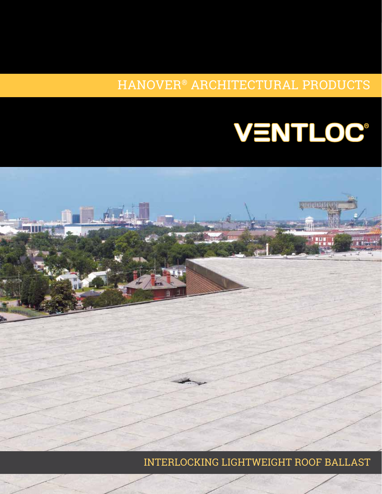### HANOVER® ARCHITECTURAL PRODUCTS

# VENTLOC®



INTERLOCKING LIGHTWEIGHT ROOF BALLAST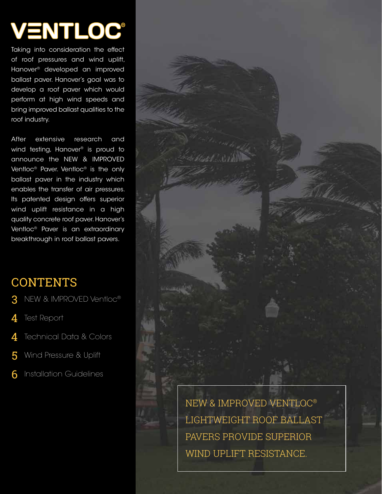## **VENTLOC®**

Taking into consideration the effect of roof pressures and wind uplift, Hanover® developed an improved ballast paver. Hanover's goal was to develop a roof paver which would perform at high wind speeds and bring improved ballast qualities to the roof industry.

After extensive research and wind testing, Hanover<sup>®</sup> is proud to announce the NEW & IMPROVED Ventloc® Paver. Ventloc® is the only ballast paver in the industry which enables the transfer of air pressures. Its patented design offers superior wind uplift resistance in a high quality concrete roof paver. Hanover's Ventloc® Paver is an extraordinary breakthrough in roof ballast pavers.

## **CONTENTS**

- NEW & IMPROVED Ventloc® 3
- Test Report 4
- Technical Data & Colors 4
- Wind Pressure & Uplift 5
- Installation Guidelines 6

NEW & IMPROVED VENTLOC® LIGHTWEIGHT ROOF BALLAST PAVERS PROVIDE SUPERIOR WIND UPLIFT RESISTANCE.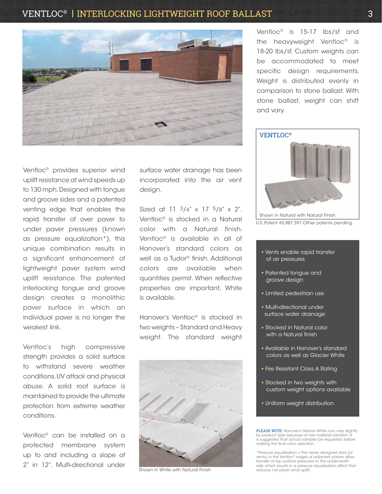#### VENTLOC® | INTERLOCKING LIGHTWEIGHT ROOF BALLAST 3



Ventloc® provides superior wind uplift resistance at wind speeds up to 130 mph. Designed with tongue and groove sides and a patented venting edge that enables the rapid transfer of over paver to under paver pressures (known as pressure equalization\*), this unique combination results in a significant enhancement of lightweight paver system wind uplift resistance. The patented interlocking tongue and groove design creates a monolithic paver surface in which an individual paver is no longer the weakest link.

Ventloc's high compressive strength provides a solid surface to withstand severe weather conditions, UV attack and physical abuse. A solid roof surface is maintained to provide the ultimate protection from extreme weather conditions.

Ventloc® can be installed on a protected membrane system up to and including a slope of 2" in 12". Multi-directional under

surface water drainage has been incorporated into the air vent design.

Sized at 11  $3/4''$  x 17  $5/8''$  x 2". Ventloc® is stocked in a Natural color with a Natural finish. Ventloc® is available in all of Hanover's standard colors as well as a Tudor® finish. Additional colors are available when quantities permit. When reflective properties are important, White is available.

Hanover's Ventloc® is stocked in two weights – Standard and Heavy weight. The standard weight



Shown in White with Natural Finish

Ventloc® is 15-17 lbs/sf and the heavyweight Ventloc® is 18-20 lbs/sf. Custom weights can be accommodated to meet specific design requirements. Weight is distributed evenly in comparison to stone ballast. With stone ballast, weight can shift and vary.



U.S. Patent #5,887,397.Other patents pending.

- Vents enable rapid transfer of air pressures
- Patented tongue and groove design
- Limited pedestrian use
- Multi-directional under surface water drainage
- Stocked in Natural color with a Natural finish
- Available in Hanover's standard colors as well as Glacier White
- Fire Resistant Class A Rating
- Stocked in two weights with custom weight options available
- Uniform weight distribution

PLEASE NOTE: Hanover's Glacier White can vary slightly by product type because of raw material variation. It is suggested that actual samples be requested before making the final color selection.

\*Pressure equalization = The newly designed slots (or vents) in the Ventloc® edges of adjacent pavers allow transfer of top surface pressures to the underneath side which results in a pressure equalization effect that reduces net paver wind uplift.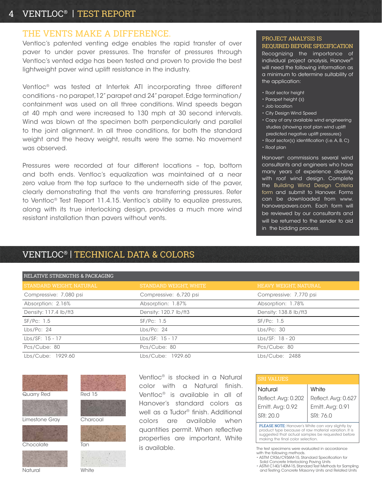#### 4 VENTLOC® | TEST REPORT

#### THE VENTS MAKE A DIFFERENCE.

Ventloc's patented venting edge enables the rapid transfer of over paver to under paver pressures. The transfer of pressures through Ventloc's vented edge has been tested and proven to provide the best lightweight paver wind uplift resistance in the industry.

Ventloc® was tested at Intertek ATI incorporating three different conditions - no parapet,12" parapet and 24" parapet. Edge termination/ containment was used on all three conditions. Wind speeds began at 40 mph and were increased to 130 mph at 30 second intervals. Wind was blown at the specimen both perpendicularly and parallel to the joint alignment. In all three conditions, for both the standard weight and the heavy weight, results were the same. No movement was observed.

Pressures were recorded at four different locations – top, bottom and both ends. Ventloc's equalization was maintained at a near zero value from the top surface to the underneath side of the paver, clearly demonstrating that the vents are transferring pressures. Refer to Ventloc® Test Report 11.4.15. Ventloc's ability to equalize pressures, along with its true interlocking design, provides a much more wind resistant installation than pavers without vents.

#### PROJECT ANALYSIS IS REQUIRED BEFORE SPECIFICATION

Recognizing the importance of individual project analysis, Hanover® will need the following information as a minimum to determine suitability of the application:

- Roof sector height
- Parapet height (s)
- Job location
- City Design Wind Speed
- Copy of any available wind engineering studies (showing roof plan wind uplift predicted negative uplift pressures)
- Roof sector(s) identification (i.e. A, B, C)
- Roof plan

Hanover® commissions several wind consultants and engineers who have many years of experience dealing with roof wind design. Complete the Building Wind Design Criteria form and submit to Hanover. Forms can be downloaded from www. hanoverpavers.com. Each form will be reviewed by our consultants and will be returned to the sender to aid in the bidding process.

#### VENTLOC® | TECHNICAL DATA & COLORS

| RELATIVE STRENGTHS & PACKAGING |                               |                        |
|--------------------------------|-------------------------------|------------------------|
| STANDARD WEIGHT, NATURAL       | <b>STANDARD WEIGHT, WHITE</b> | HEAVY WEIGHT, NATURAL  |
| Compressive: 7,080 psi         | Compressive: 6,720 psi        | Compressive: 7,770 psi |
| Absorption: 2.16%              | Absorption: 1.87%             | Absorption: 1.78%      |
| Density: 117.4 lb/ft3          | Density: 120.7 lb/ft3         | Density: 138.8 lb/ft3  |
| SF/Pc: 1.5                     | SF/Pc: 1.5                    | SF/Pc: 1.5             |
| Lbs/PC: 24                     | Lbs/PC: 24                    | Lbs/PC: 30             |
| Lbs/SF: 15 - 17                | $Lbs/SF: 15 - 17$             | Lbs/SF: 18 - 20        |
| Pcs/Cube: 80                   | Pcs/Cube: 80                  | Pcs/Cube: 80           |
| Lbs/Cube: 1929.60              | Lbs/Cube: 1929.60             | Lbs/Cube: 2488         |



Ventloc® is stocked in a Natural color with a Natural finish. Ventloc® is available in all of Hanover's standard colors as well as a Tudor® finish. Additional colors are available when quantities permit. When reflective properties are important, White is available.

| <b>SRI VALUES</b>   |                     |  |
|---------------------|---------------------|--|
| Natural             | White               |  |
| Reflect. Avg: 0.202 | Reflect. Avg: 0.627 |  |
| Emitt. Avg: 0.92    | Emitt. Avg: 0.91    |  |
| l SRI: 20.0         | SRI: 76.0           |  |

PLEASE NOTE: Hanover's White can vary slightly by product type because of raw material variation. It is suggested that actual samples be requested before making the final color selection.

The test specimens were evaluated in accordance with the following methods.

• ASTM C936/C936M-15, Standard Specification for Solid Concrete Interlocking Paving Units • ASTM C140/140M-15, Standard Test Methods for Sampling

and Testing Concrete Masonry Units and Related Units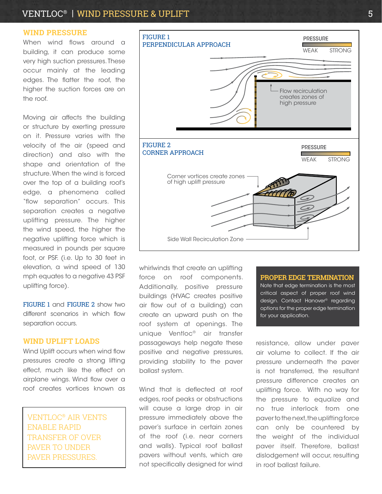#### VENTLOC<sup>®</sup> | WIND PRESSURE & UPLIFT 5

#### **WIND PRESSURE**

When wind flows around a building, it can produce some very high suction pressures. These occur mainly at the leading edges. The flatter the roof, the higher the suction forces are on the roof.

Moving air affects the building or structure by exerting pressure on it. Pressure varies with the velocity of the air (speed and direction) and also with the shape and orientation of the structure. When the wind is forced over the top of a building roof's edge, a phenomena called "flow separation" occurs. This separation creates a negative uplifting pressure. The higher the wind speed, the higher the negative uplifting force which is measured in pounds per square foot, or PSF. (i.e. Up to 30 feet in elevation, a wind speed of 130 mph equates to a negative 43 PSF uplifting force).

FIGURE 1 and FIGURE 2 show two different scenarios in which flow separation occurs.

#### **WIND UPLIFT LOADS**

Wind Uplift occurs when wind flow pressures create a strong lifting effect, much like the effect on airplane wings. Wind flow over a roof creates vortices known as

VENTLOC® AIR VENTS ENABLE RAPID TRANSFER OF OVER PAVER TO UNDER PAVER PRESSURES.



whirlwinds that create an uplifting force on roof components. Additionally, positive pressure buildings (HVAC creates positive air flow out of a building) can create an upward push on the roof system at openings. The unique Ventloc® air transfer passageways help negate these positive and negative pressures, providing stability to the paver ballast system.

Wind that is deflected at roof edges, roof peaks or obstructions will cause a large drop in air pressure immediately above the paver's surface in certain zones of the roof (i.e. near corners and walls). Typical roof ballast pavers without vents, which are not specifically designed for wind Note that edge termination is the most critical aspect of proper roof wind design. Contact Hanover® regarding options for the proper edge termination for your application.

**PROPER EDGE TERMINATION**

resistance, allow under paver air volume to collect. If the air pressure underneath the paver is not transferred, the resultant pressure difference creates an uplifting force. With no way for the pressure to equalize and no true interlock from one paver to the next, the uplifting force can only be countered by the weight of the individual paver itself. Therefore, ballast dislodgement will occur, resulting in roof ballast failure.